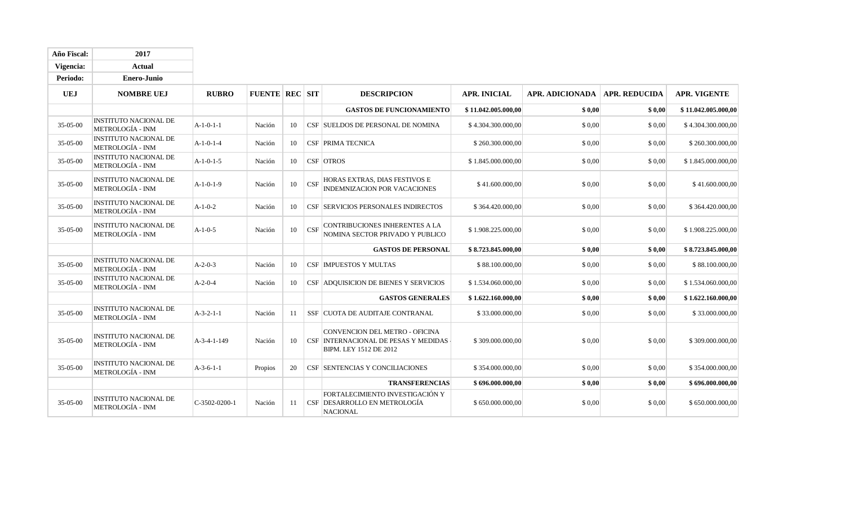| Año Fiscal:    | 2017                                                    |                 |                       |    |            |                                                                                                  |                     |                 |                      |                     |
|----------------|---------------------------------------------------------|-----------------|-----------------------|----|------------|--------------------------------------------------------------------------------------------------|---------------------|-----------------|----------------------|---------------------|
| Vigencia:      | <b>Actual</b>                                           |                 |                       |    |            |                                                                                                  |                     |                 |                      |                     |
| Periodo:       | <b>Enero-Junio</b>                                      |                 |                       |    |            |                                                                                                  |                     |                 |                      |                     |
| <b>UEJ</b>     | <b>NOMBRE UEJ</b>                                       | <b>RUBRO</b>    | <b>FUENTE REC SIT</b> |    |            | <b>DESCRIPCION</b>                                                                               | <b>APR. INICIAL</b> | APR. ADICIONADA | <b>APR. REDUCIDA</b> | <b>APR. VIGENTE</b> |
|                |                                                         |                 |                       |    |            | <b>GASTOS DE FUNCIONAMIENTO</b>                                                                  | \$11.042.005.000.00 | \$0,00          | \$0,00               | \$11.042.005.000,00 |
| 35-05-00       | <b>INSTITUTO NACIONAL DE</b><br>METROLOGÍA - INM        | $A-1-0-1-1$     | Nación                | 10 |            | CSF SUELDOS DE PERSONAL DE NOMINA                                                                | \$4.304.300.000,00  | \$0,00          | \$0,00               | \$4.304.300.000,00  |
| 35-05-00       | <b>INSTITUTO NACIONAL DE</b><br><b>METROLOGÍA - INM</b> | $A-1-0-1-4$     | Nación                | 10 |            | <b>CSF PRIMA TECNICA</b>                                                                         | \$260.300.000,00    | \$0,00          | \$0,00               | \$260.300.000,00    |
| 35-05-00       | <b>INSTITUTO NACIONAL DE</b><br><b>METROLOGÍA - INM</b> | $A-1-0-1-5$     | Nación                | 10 |            | CSF OTROS                                                                                        | \$1.845.000.000,00  | \$0,00          | \$0,00               | \$1.845.000.000,00  |
| 35-05-00       | <b>INSTITUTO NACIONAL DE</b><br><b>METROLOGÍA - INM</b> | $A-1-0-1-9$     | Nación                | 10 | <b>CSF</b> | HORAS EXTRAS, DIAS FESTIVOS E<br>INDEMNIZACION POR VACACIONES                                    | \$41.600.000,00     | \$ 0.00         | \$0,00               | \$41.600.000,00     |
| 35-05-00       | <b>INSTITUTO NACIONAL DE</b><br>METROLOGÍA - INM        | $A-1-0-2$       | Nación                | 10 |            | <b>CSF SERVICIOS PERSONALES INDIRECTOS</b>                                                       | \$364.420.000,00    | \$0,00          | \$0,00               | \$364.420.000,00    |
| 35-05-00       | <b>INSTITUTO NACIONAL DE</b><br>METROLOGÍA - INM        | $A-1-0-5$       | Nación                | 10 | CSF        | CONTRIBUCIONES INHERENTES A LA<br>NOMINA SECTOR PRIVADO Y PUBLICO                                | \$1.908.225.000,00  | \$0.00          | \$0,00               | \$1.908.225.000,00  |
|                |                                                         |                 |                       |    |            | <b>GASTOS DE PERSONAL</b>                                                                        | \$8.723.845.000,00  | \$0,00          | \$0,00               | \$8.723.845.000,00  |
| 35-05-00       | <b>INSTITUTO NACIONAL DE</b><br>METROLOGÍA - INM        | $A-2-0-3$       | Nación                | 10 |            | <b>CSF IMPUESTOS Y MULTAS</b>                                                                    | \$88.100.000,00     | \$0,00          | \$ 0,00              | \$88.100.000,00     |
| 35-05-00       | <b>INSTITUTO NACIONAL DE</b><br><b>METROLOGÍA - INM</b> | $A-2-0-4$       | Nación                | 10 |            | CSF ADQUISICION DE BIENES Y SERVICIOS                                                            | \$1.534.060.000,00  | \$0.00          | \$0,00               | \$1.534.060.000,00  |
|                |                                                         |                 |                       |    |            | <b>GASTOS GENERALES</b>                                                                          | \$1.622.160.000,00  | \$0,00          | \$0,00               | \$1.622.160.000,00  |
| 35-05-00       | <b>INSTITUTO NACIONAL DE</b><br>METROLOGÍA - INM        | $A-3-2-1-1$     | Nación                | 11 |            | SSF CUOTA DE AUDITAJE CONTRANAL                                                                  | \$33,000,000,00     | \$0,00          | \$0,00               | \$33.000.000,00     |
| $35 - 05 - 00$ | <b>INSTITUTO NACIONAL DE</b><br>METROLOGÍA - INM        | A-3-4-1-149     | Nación                | 10 |            | CONVENCION DEL METRO - OFICINA<br>CSF INTERNACIONAL DE PESAS Y MEDIDAS<br>BIPM. LEY 1512 DE 2012 | \$309.000.000,00    | \$0.00          | \$0,00               | \$309.000.000,00    |
| 35-05-00       | <b>INSTITUTO NACIONAL DE</b><br><b>METROLOGÍA - INM</b> | $A-3-6-1-1$     | Propios               | 20 |            | <b>CSF SENTENCIAS Y CONCILIACIONES</b>                                                           | \$354.000.000,00    | \$0.00          | \$0,00               | \$354.000.000,00    |
|                |                                                         |                 |                       |    |            | <b>TRANSFERENCIAS</b>                                                                            | \$696.000.000,00    | \$0,00          | \$0,00               | \$696.000.000,00    |
| 35-05-00       | INSTITUTO NACIONAL DE<br><b>METROLOGÍA - INM</b>        | $C-3502-0200-1$ | Nación                | 11 |            | FORTALECIMIENTO INVESTIGACIÓN Y<br>CSF DESARROLLO EN METROLOGÍA<br><b>NACIONAL</b>               | \$650.000.000,00    | \$0,00          | \$ 0.00              | \$650.000.000,00    |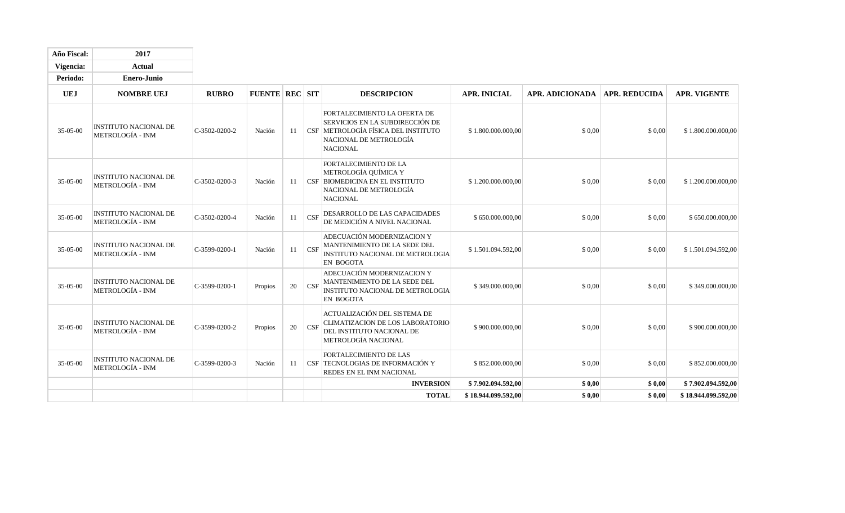| Año Fiscal: | 2017                                                    |                 |                       |    |                         |                                                                                                                                                     |                     |                                 |        |                     |
|-------------|---------------------------------------------------------|-----------------|-----------------------|----|-------------------------|-----------------------------------------------------------------------------------------------------------------------------------------------------|---------------------|---------------------------------|--------|---------------------|
| Vigencia:   | <b>Actual</b>                                           |                 |                       |    |                         |                                                                                                                                                     |                     |                                 |        |                     |
| Periodo:    | <b>Enero-Junio</b>                                      |                 |                       |    |                         |                                                                                                                                                     |                     |                                 |        |                     |
| <b>UEJ</b>  | <b>NOMBRE UEJ</b>                                       | <b>RUBRO</b>    | <b>FUENTE REC SIT</b> |    |                         | <b>DESCRIPCION</b>                                                                                                                                  | <b>APR. INICIAL</b> | APR. ADICIONADA   APR. REDUCIDA |        | <b>APR. VIGENTE</b> |
| 35-05-00    | <b>INSTITUTO NACIONAL DE</b><br><b>METROLOGÍA - INM</b> | $C-3502-0200-2$ | Nación                | 11 |                         | FORTALECIMIENTO LA OFERTA DE<br>SERVICIOS EN LA SUBDIRECCIÓN DE<br>CSF METROLOGÍA FÍSICA DEL INSTITUTO<br>NACIONAL DE METROLOGÍA<br><b>NACIONAL</b> | \$1.800.000.000,00  | \$0,00                          | \$0,00 | \$1.800.000.000,00  |
| 35-05-00    | <b>INSTITUTO NACIONAL DE</b><br>METROLOGÍA - INM        | C-3502-0200-3   | Nación                | 11 |                         | FORTALECIMIENTO DE LA<br>METROLOGÍA QUÍMICA Y<br>CSF BIOMEDICINA EN EL INSTITUTO<br>NACIONAL DE METROLOGÍA<br><b>NACIONAL</b>                       | \$1.200.000.000,00  | \$0,00                          | \$0,00 | \$1.200.000.000,00  |
| 35-05-00    | <b>INSTITUTO NACIONAL DE</b><br>METROLOGÍA - INM        | $C-3502-0200-4$ | Nación                | 11 | $\overline{\text{CSF}}$ | DESARROLLO DE LAS CAPACIDADES<br>DE MEDICIÓN A NIVEL NACIONAL                                                                                       | \$650.000.000,00    | \$0,00                          | \$0,00 | \$650.000.000,00    |
| 35-05-00    | <b>INSTITUTO NACIONAL DE</b><br>METROLOGÍA - INM        | C-3599-0200-1   | Nación                | 11 | CSF                     | ADECUACIÓN MODERNIZACION Y<br>MANTENIMIENTO DE LA SEDE DEL<br><b>INSTITUTO NACIONAL DE METROLOGIA</b><br><b>EN BOGOTA</b>                           | \$1.501.094.592,00  | \$0,00                          | \$0,00 | \$1.501.094.592,00  |
| 35-05-00    | <b>INSTITUTO NACIONAL DE</b><br>METROLOGÍA - INM        | $C-3599-0200-1$ | Propios               | 20 | CSF                     | ADECUACIÓN MODERNIZACION Y<br>MANTENIMIENTO DE LA SEDE DEL<br>INSTITUTO NACIONAL DE METROLOGIA<br><b>EN BOGOTA</b>                                  | \$349.000.000,00    | \$0,00                          | \$0,00 | \$349.000.000,00    |
| 35-05-00    | <b>INSTITUTO NACIONAL DE</b><br><b>METROLOGÍA - INM</b> | C-3599-0200-2   | Propios               | 20 | $\mathbf{C}$            | ACTUALIZACIÓN DEL SISTEMA DE<br>CLIMATIZACION DE LOS LABORATORIO<br>DEL INSTITUTO NACIONAL DE<br><b>METROLOGÍA NACIONAL</b>                         | \$900.000.000,00    | \$0,00                          | \$0,00 | \$900.000.000,00    |
| 35-05-00    | <b>INSTITUTO NACIONAL DE</b><br><b>METROLOGÍA - INM</b> | C-3599-0200-3   | Nación                | 11 |                         | <b>FORTALECIMIENTO DE LAS</b><br>CSF TECNOLOGIAS DE INFORMACIÓN Y<br>REDES EN EL INM NACIONAL                                                       | \$852.000.000,00    | \$0,00                          | \$0,00 | \$852.000.000,00    |
|             |                                                         |                 |                       |    |                         | <b>INVERSION</b>                                                                                                                                    | \$7.902.094.592,00  | \$0,00                          | \$0,00 | \$7.902.094.592,00  |
|             |                                                         |                 |                       |    |                         | <b>TOTAL</b>                                                                                                                                        | \$18.944.099.592,00 | \$0,00                          | \$0,00 | \$18.944.099.592,00 |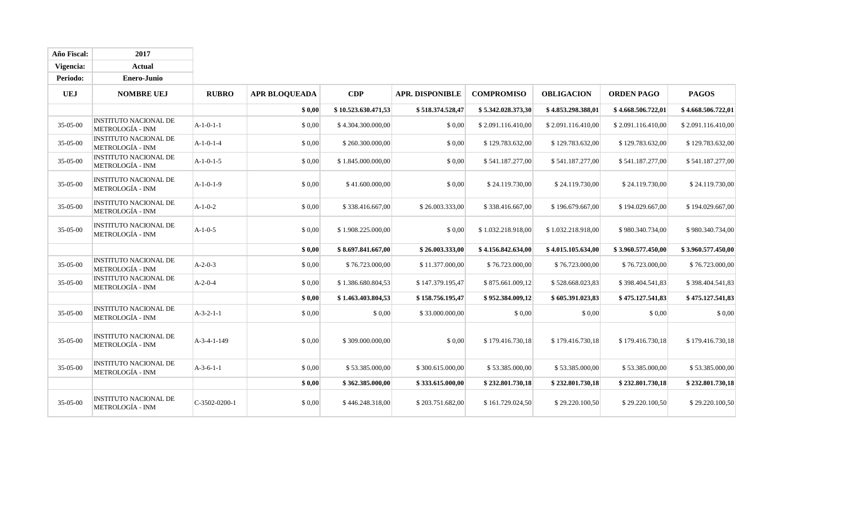| Año Fiscal:    | 2017                                                    |                 |                      |                     |                        |                    |                    |                    |                    |
|----------------|---------------------------------------------------------|-----------------|----------------------|---------------------|------------------------|--------------------|--------------------|--------------------|--------------------|
| Vigencia:      | <b>Actual</b>                                           |                 |                      |                     |                        |                    |                    |                    |                    |
| Periodo:       | Enero-Junio                                             |                 |                      |                     |                        |                    |                    |                    |                    |
| <b>UEJ</b>     | <b>NOMBRE UEJ</b>                                       | <b>RUBRO</b>    | <b>APR BLOQUEADA</b> | CDP                 | <b>APR. DISPONIBLE</b> | <b>COMPROMISO</b>  | <b>OBLIGACION</b>  | <b>ORDEN PAGO</b>  | <b>PAGOS</b>       |
|                |                                                         |                 | \$0.00               | \$10.523.630.471,53 | \$518.374.528,47       | \$5.342.028.373,30 | \$4.853.298.388,01 | \$4.668.506.722,01 | \$4.668.506.722,01 |
| 35-05-00       | <b>INSTITUTO NACIONAL DE</b><br>METROLOGÍA - INM        | $A-1-0-1-1$     | \$0,00               | \$4.304.300.000,00  | \$0,00                 | \$2.091.116.410,00 | \$2.091.116.410,00 | \$2.091.116.410,00 | \$2.091.116.410,00 |
| 35-05-00       | <b>INSTITUTO NACIONAL DE</b><br>METROLOGÍA - INM        | $A-1-0-1-4$     | \$0,00               | \$260.300.000,00    | \$0,00                 | \$129.783.632,00   | \$129.783.632,00   | \$129.783.632,00   | \$129.783.632,00   |
| 35-05-00       | <b>INSTITUTO NACIONAL DE</b><br>METROLOGÍA - INM        | $A-1-0-1-5$     | \$0,00               | \$1.845.000.000,00  | \$0,00                 | \$541.187.277,00   | \$541.187.277,00   | \$541.187.277,00   | \$541.187.277,00   |
| 35-05-00       | INSTITUTO NACIONAL DE<br><b>METROLOGÍA - INM</b>        | $A-1-0-1-9$     | \$0,00               | \$41.600.000,00     | \$0,00                 | \$24.119.730,00    | \$24.119.730,00    | \$24.119.730,00    | \$24.119.730,00    |
| 35-05-00       | <b>INSTITUTO NACIONAL DE</b><br>METROLOGÍA - INM        | $A-1-0-2$       | \$0,00               | \$338.416.667,00    | \$26.003.333,00        | \$338.416.667,00   | \$196.679.667,00   | \$194.029.667,00   | \$194.029.667,00   |
| 35-05-00       | INSTITUTO NACIONAL DE<br>METROLOGÍA - INM               | $A-1-0-5$       | \$0,00               | \$1.908.225.000,00  | \$0,00                 | \$1.032.218.918,00 | \$1.032.218.918,00 | \$980.340.734,00   | \$980.340.734,00   |
|                |                                                         |                 | \$0,00               | \$8.697.841.667,00  | \$26.003.333,00        | \$4.156.842.634,00 | \$4.015.105.634,00 | \$3.960.577.450,00 | \$3.960.577.450,00 |
| 35-05-00       | INSTITUTO NACIONAL DE<br>METROLOGÍA - INM               | $A-2-0-3$       | \$0,00               | \$76.723.000,00     | \$11.377.000,00        | \$76.723.000,00    | \$76.723.000,00    | \$76.723.000,00    | \$76.723.000,00    |
| 35-05-00       | <b>INSTITUTO NACIONAL DE</b><br><b>METROLOGÍA - INM</b> | $A-2-0-4$       | \$0,00               | \$1.386.680.804,53  | \$147.379.195,47       | \$875.661.009,12   | \$528.668.023,83   | \$398.404.541,83   | \$398.404.541,83   |
|                |                                                         |                 | \$0,00               | \$1.463.403.804,53  | \$158.756.195,47       | \$952.384.009,12   | \$605.391.023,83   | \$475.127.541,83   | \$475.127.541,83   |
| 35-05-00       | <b>INSTITUTO NACIONAL DE</b><br><b>METROLOGÍA - INM</b> | $A-3-2-1-1$     | \$0,00               | \$0,00              | \$33.000.000,00        | \$ 0.00            | \$0,00             | \$0,00             | \$0,00             |
| 35-05-00       | <b>INSTITUTO NACIONAL DE</b><br><b>METROLOGÍA - INM</b> | A-3-4-1-149     | \$0,00               | \$309.000.000,00    | \$0,00                 | \$179.416.730,18   | \$179.416.730,18   | \$179.416.730,18   | \$179.416.730,18   |
| $35 - 05 - 00$ | <b>INSTITUTO NACIONAL DE</b><br><b>METROLOGÍA - INM</b> | $A-3-6-1-1$     | \$ 0.00              | \$53.385.000,00     | \$300.615.000,00       | \$53.385.000,00    | \$53.385.000,00    | \$53.385.000,00    | \$53.385.000,00    |
|                |                                                         |                 | \$0,00               | \$362.385.000,00    | \$333.615.000,00       | \$232.801.730,18   | \$232.801.730,18   | \$232.801.730,18   | \$232.801.730,18   |
| 35-05-00       | <b>INSTITUTO NACIONAL DE</b><br><b>METROLOGÍA - INM</b> | $C-3502-0200-1$ | \$0,00               | \$446.248.318,00    | \$203.751.682,00       | \$161.729.024,50   | \$29.220.100,50    | \$29.220.100,50    | \$29.220.100,50    |